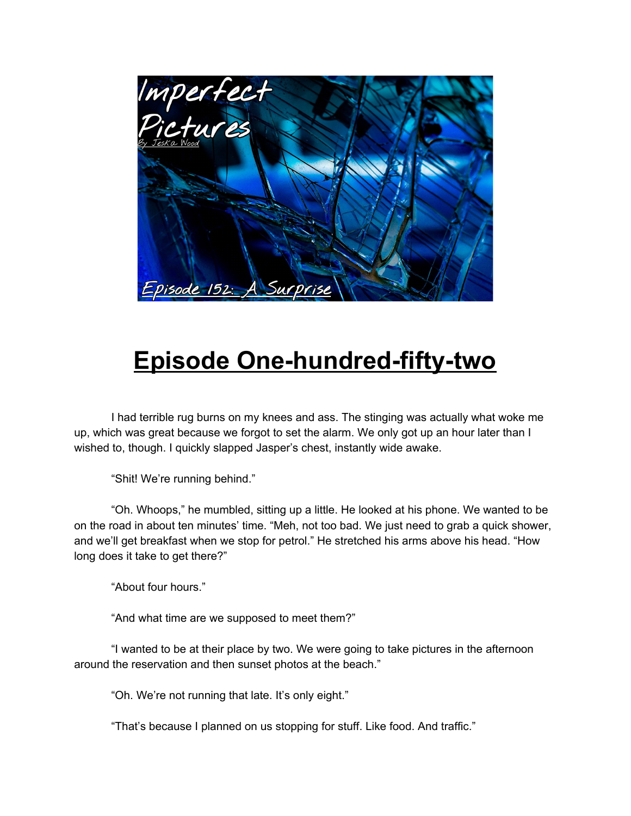

## **Episode One-hundred-fifty-two**

I had terrible rug burns on my knees and ass. The stinging was actually what woke me up, which was great because we forgot to set the alarm. We only got up an hour later than I wished to, though. I quickly slapped Jasper's chest, instantly wide awake.

"Shit! We're running behind."

"Oh. Whoops," he mumbled, sitting up a little. He looked at his phone. We wanted to be on the road in about ten minutes' time. "Meh, not too bad. We just need to grab a quick shower, and we'll get breakfast when we stop for petrol." He stretched his arms above his head. "How long does it take to get there?"

"About four hours."

"And what time are we supposed to meet them?"

"I wanted to be at their place by two. We were going to take pictures in the afternoon around the reservation and then sunset photos at the beach."

"Oh. We're not running that late. It's only eight."

"That's because I planned on us stopping for stuff. Like food. And traffic."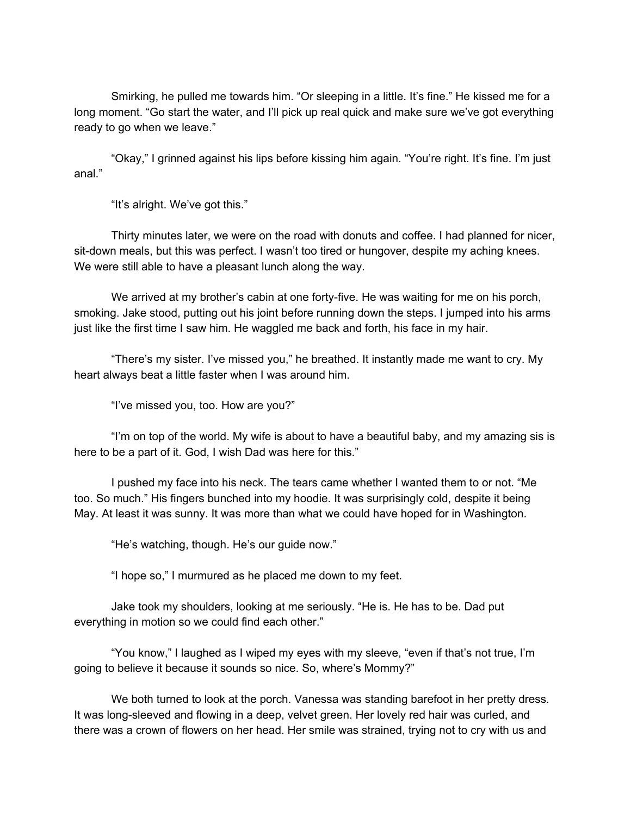Smirking, he pulled me towards him. "Or sleeping in a little. It's fine." He kissed me for a long moment. "Go start the water, and I'll pick up real quick and make sure we've got everything ready to go when we leave."

"Okay," I grinned against his lips before kissing him again. "You're right. It's fine. I'm just anal."

"It's alright. We've got this."

Thirty minutes later, we were on the road with donuts and coffee. I had planned for nicer, sit-down meals, but this was perfect. I wasn't too tired or hungover, despite my aching knees. We were still able to have a pleasant lunch along the way.

We arrived at my brother's cabin at one forty-five. He was waiting for me on his porch, smoking. Jake stood, putting out his joint before running down the steps. I jumped into his arms just like the first time I saw him. He waggled me back and forth, his face in my hair.

"There's my sister. I've missed you," he breathed. It instantly made me want to cry. My heart always beat a little faster when I was around him.

"I've missed you, too. How are you?"

"I'm on top of the world. My wife is about to have a beautiful baby, and my amazing sis is here to be a part of it. God, I wish Dad was here for this."

I pushed my face into his neck. The tears came whether I wanted them to or not. "Me too. So much." His fingers bunched into my hoodie. It was surprisingly cold, despite it being May. At least it was sunny. It was more than what we could have hoped for in Washington.

"He's watching, though. He's our guide now."

"I hope so," I murmured as he placed me down to my feet.

Jake took my shoulders, looking at me seriously. "He is. He has to be. Dad put everything in motion so we could find each other."

"You know," I laughed as I wiped my eyes with my sleeve, "even if that's not true, I'm going to believe it because it sounds so nice. So, where's Mommy?"

We both turned to look at the porch. Vanessa was standing barefoot in her pretty dress. It was long-sleeved and flowing in a deep, velvet green. Her lovely red hair was curled, and there was a crown of flowers on her head. Her smile was strained, trying not to cry with us and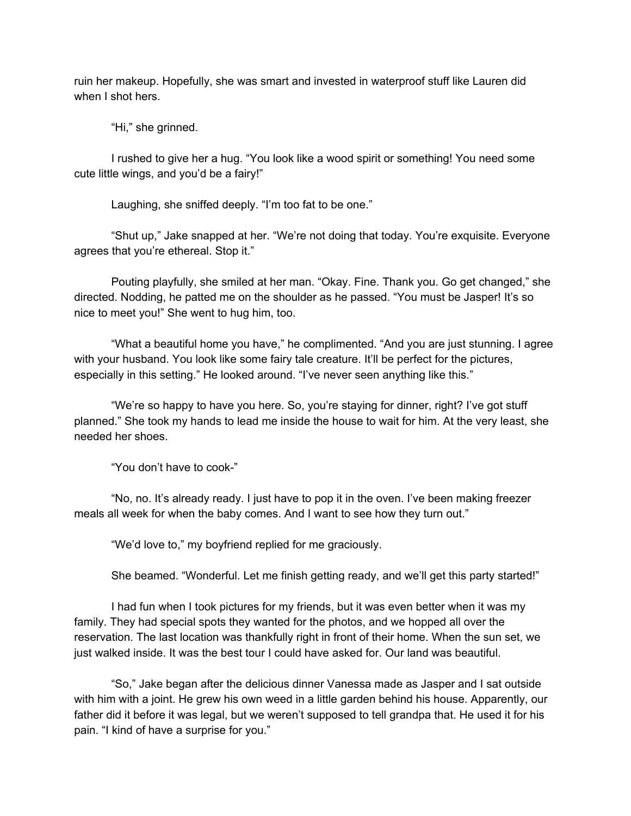ruin her makeup. Hopefully, she was smart and invested in waterproof stuff like Lauren did when I shot hers.

"Hi," she grinned.

I rushed to give her a hug. "You look like a wood spirit or something! You need some cute little wings, and you'd be a fairy!"

Laughing, she sniffed deeply. "I'm too fat to be one."

"Shut up," Jake snapped at her. "We're not doing that today. You're exquisite. Everyone agrees that you're ethereal. Stop it."

Pouting playfully, she smiled at her man. "Okay. Fine. Thank you. Go get changed," she directed. Nodding, he patted me on the shoulder as he passed. "You must be Jasper! It's so nice to meet you!" She went to hug him, too.

"What a beautiful home you have," he complimented. "And you are just stunning. I agree with your husband. You look like some fairy tale creature. It'll be perfect for the pictures, especially in this setting." He looked around. "I've never seen anything like this."

"We're so happy to have you here. So, you're staying for dinner, right? I've got stuff planned." She took my hands to lead me inside the house to wait for him. At the very least, she needed her shoes.

"You don't have to cook-"

"No, no. It's already ready. I just have to pop it in the oven. I've been making freezer meals all week for when the baby comes. And I want to see how they turn out."

"We'd love to," my boyfriend replied for me graciously.

She beamed. "Wonderful. Let me finish getting ready, and we'll get this party started!"

I had fun when I took pictures for my friends, but it was even better when it was my family. They had special spots they wanted for the photos, and we hopped all over the reservation. The last location was thankfully right in front of their home. When the sun set, we just walked inside. It was the best tour I could have asked for. Our land was beautiful.

"So," Jake began after the delicious dinner Vanessa made as Jasper and I sat outside with him with a joint. He grew his own weed in a little garden behind his house. Apparently, our father did it before it was legal, but we weren't supposed to tell grandpa that. He used it for his pain. "I kind of have a surprise for you."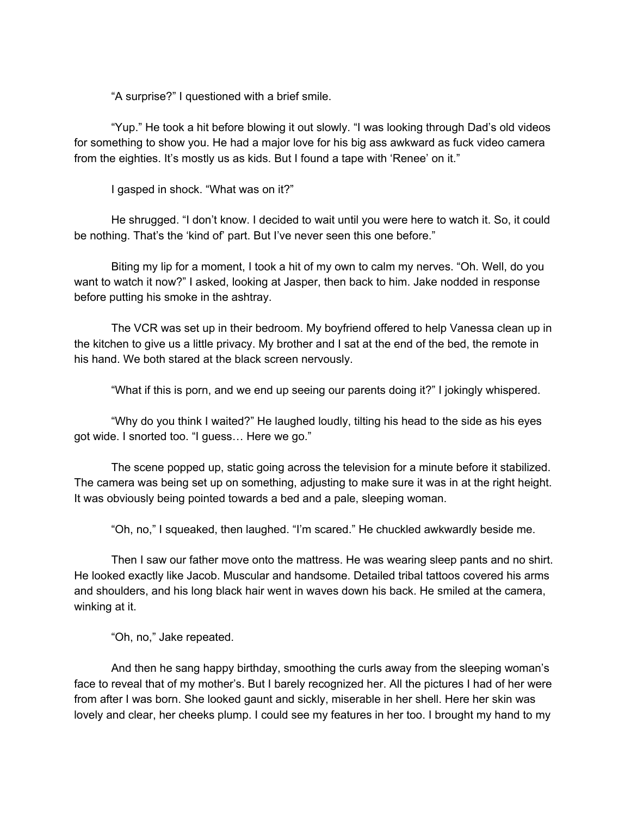"A surprise?" I questioned with a brief smile.

"Yup." He took a hit before blowing it out slowly. "I was looking through Dad's old videos for something to show you. He had a major love for his big ass awkward as fuck video camera from the eighties. It's mostly us as kids. But I found a tape with 'Renee' on it."

I gasped in shock. "What was on it?"

He shrugged. "I don't know. I decided to wait until you were here to watch it. So, it could be nothing. That's the 'kind of' part. But I've never seen this one before."

Biting my lip for a moment, I took a hit of my own to calm my nerves. "Oh. Well, do you want to watch it now?" I asked, looking at Jasper, then back to him. Jake nodded in response before putting his smoke in the ashtray.

The VCR was set up in their bedroom. My boyfriend offered to help Vanessa clean up in the kitchen to give us a little privacy. My brother and I sat at the end of the bed, the remote in his hand. We both stared at the black screen nervously.

"What if this is porn, and we end up seeing our parents doing it?" I jokingly whispered.

"Why do you think I waited?" He laughed loudly, tilting his head to the side as his eyes got wide. I snorted too. "I guess… Here we go."

The scene popped up, static going across the television for a minute before it stabilized. The camera was being set up on something, adjusting to make sure it was in at the right height. It was obviously being pointed towards a bed and a pale, sleeping woman.

"Oh, no," I squeaked, then laughed. "I'm scared." He chuckled awkwardly beside me.

Then I saw our father move onto the mattress. He was wearing sleep pants and no shirt. He looked exactly like Jacob. Muscular and handsome. Detailed tribal tattoos covered his arms and shoulders, and his long black hair went in waves down his back. He smiled at the camera, winking at it.

"Oh, no," Jake repeated.

And then he sang happy birthday, smoothing the curls away from the sleeping woman's face to reveal that of my mother's. But I barely recognized her. All the pictures I had of her were from after I was born. She looked gaunt and sickly, miserable in her shell. Here her skin was lovely and clear, her cheeks plump. I could see my features in her too. I brought my hand to my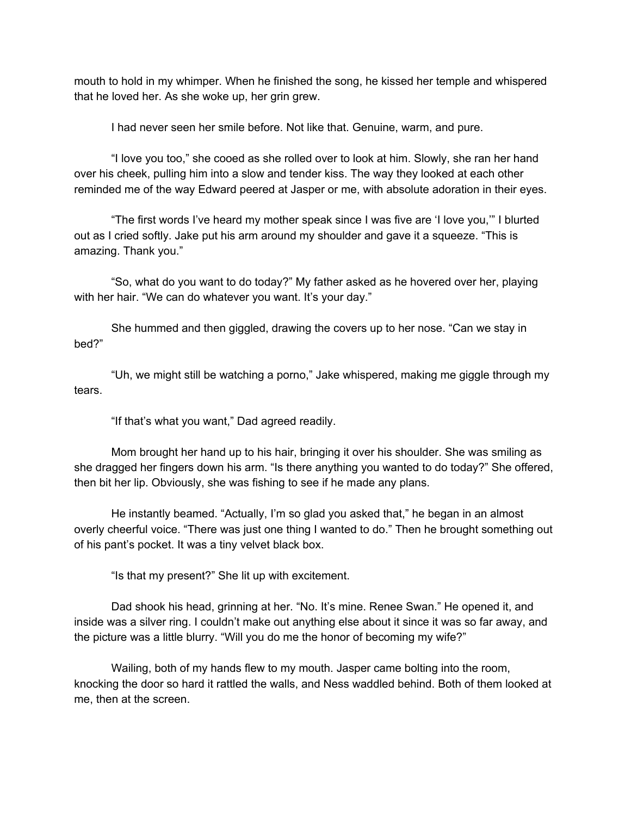mouth to hold in my whimper. When he finished the song, he kissed her temple and whispered that he loved her. As she woke up, her grin grew.

I had never seen her smile before. Not like that. Genuine, warm, and pure.

"I love you too," she cooed as she rolled over to look at him. Slowly, she ran her hand over his cheek, pulling him into a slow and tender kiss. The way they looked at each other reminded me of the way Edward peered at Jasper or me, with absolute adoration in their eyes.

"The first words I've heard my mother speak since I was five are 'I love you,'" I blurted out as I cried softly. Jake put his arm around my shoulder and gave it a squeeze. "This is amazing. Thank you."

"So, what do you want to do today?" My father asked as he hovered over her, playing with her hair. "We can do whatever you want. It's your day."

She hummed and then giggled, drawing the covers up to her nose. "Can we stay in bed?"

"Uh, we might still be watching a porno," Jake whispered, making me giggle through my tears.

"If that's what you want," Dad agreed readily.

Mom brought her hand up to his hair, bringing it over his shoulder. She was smiling as she dragged her fingers down his arm. "Is there anything you wanted to do today?" She offered, then bit her lip. Obviously, she was fishing to see if he made any plans.

He instantly beamed. "Actually, I'm so glad you asked that," he began in an almost overly cheerful voice. "There was just one thing I wanted to do." Then he brought something out of his pant's pocket. It was a tiny velvet black box.

"Is that my present?" She lit up with excitement.

Dad shook his head, grinning at her. "No. It's mine. Renee Swan." He opened it, and inside was a silver ring. I couldn't make out anything else about it since it was so far away, and the picture was a little blurry. "Will you do me the honor of becoming my wife?"

Wailing, both of my hands flew to my mouth. Jasper came bolting into the room, knocking the door so hard it rattled the walls, and Ness waddled behind. Both of them looked at me, then at the screen.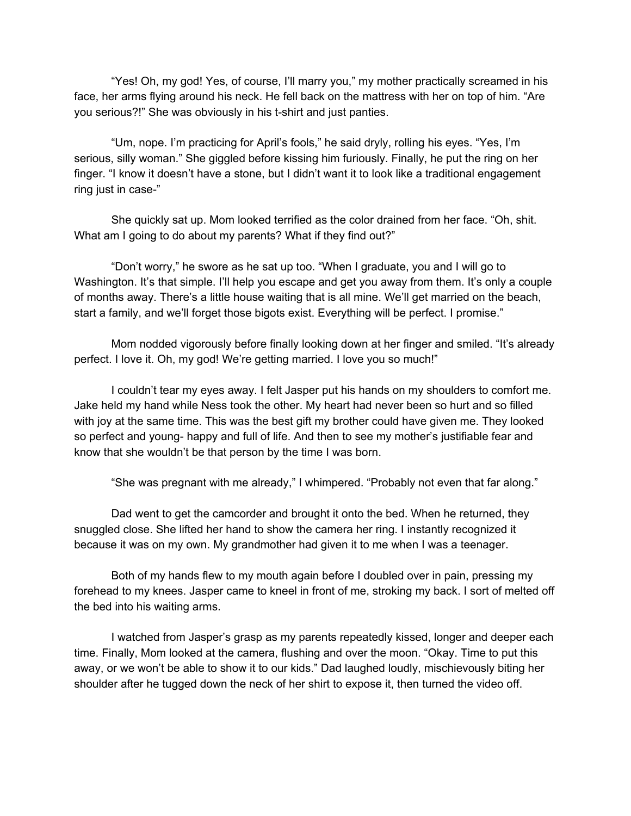"Yes! Oh, my god! Yes, of course, I'll marry you," my mother practically screamed in his face, her arms flying around his neck. He fell back on the mattress with her on top of him. "Are you serious?!" She was obviously in his t-shirt and just panties.

"Um, nope. I'm practicing for April's fools," he said dryly, rolling his eyes. "Yes, I'm serious, silly woman." She giggled before kissing him furiously. Finally, he put the ring on her finger. "I know it doesn't have a stone, but I didn't want it to look like a traditional engagement ring just in case-"

She quickly sat up. Mom looked terrified as the color drained from her face. "Oh, shit. What am I going to do about my parents? What if they find out?"

"Don't worry," he swore as he sat up too. "When I graduate, you and I will go to Washington. It's that simple. I'll help you escape and get you away from them. It's only a couple of months away. There's a little house waiting that is all mine. We'll get married on the beach, start a family, and we'll forget those bigots exist. Everything will be perfect. I promise."

Mom nodded vigorously before finally looking down at her finger and smiled. "It's already perfect. I love it. Oh, my god! We're getting married. I love you so much!"

I couldn't tear my eyes away. I felt Jasper put his hands on my shoulders to comfort me. Jake held my hand while Ness took the other. My heart had never been so hurt and so filled with joy at the same time. This was the best gift my brother could have given me. They looked so perfect and young- happy and full of life. And then to see my mother's justifiable fear and know that she wouldn't be that person by the time I was born.

"She was pregnant with me already," I whimpered. "Probably not even that far along."

Dad went to get the camcorder and brought it onto the bed. When he returned, they snuggled close. She lifted her hand to show the camera her ring. I instantly recognized it because it was on my own. My grandmother had given it to me when I was a teenager.

Both of my hands flew to my mouth again before I doubled over in pain, pressing my forehead to my knees. Jasper came to kneel in front of me, stroking my back. I sort of melted off the bed into his waiting arms.

I watched from Jasper's grasp as my parents repeatedly kissed, longer and deeper each time. Finally, Mom looked at the camera, flushing and over the moon. "Okay. Time to put this away, or we won't be able to show it to our kids." Dad laughed loudly, mischievously biting her shoulder after he tugged down the neck of her shirt to expose it, then turned the video off.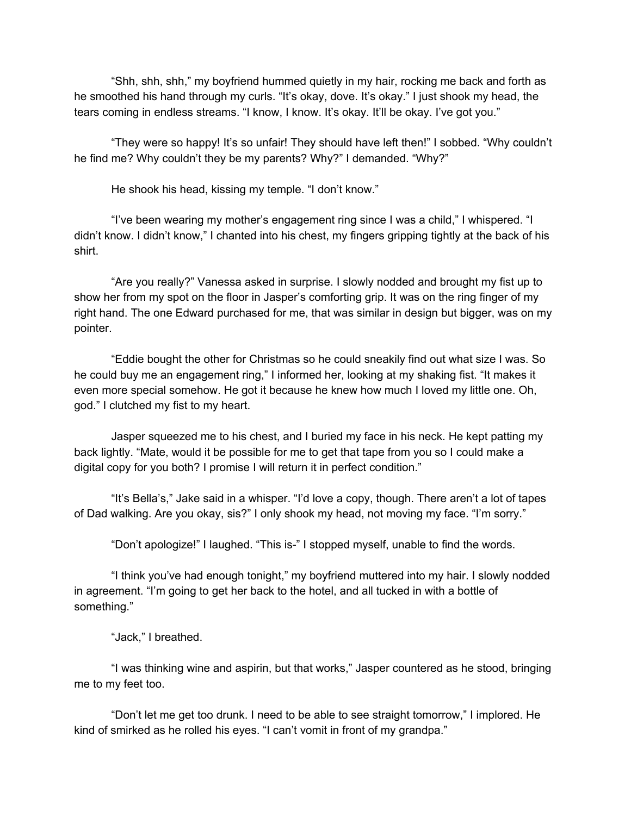"Shh, shh, shh," my boyfriend hummed quietly in my hair, rocking me back and forth as he smoothed his hand through my curls. "It's okay, dove. It's okay." I just shook my head, the tears coming in endless streams. "I know, I know. It's okay. It'll be okay. I've got you."

"They were so happy! It's so unfair! They should have left then!" I sobbed. "Why couldn't he find me? Why couldn't they be my parents? Why?" I demanded. "Why?"

He shook his head, kissing my temple. "I don't know."

"I've been wearing my mother's engagement ring since I was a child," I whispered. "I didn't know. I didn't know," I chanted into his chest, my fingers gripping tightly at the back of his shirt.

"Are you really?" Vanessa asked in surprise. I slowly nodded and brought my fist up to show her from my spot on the floor in Jasper's comforting grip. It was on the ring finger of my right hand. The one Edward purchased for me, that was similar in design but bigger, was on my pointer.

"Eddie bought the other for Christmas so he could sneakily find out what size I was. So he could buy me an engagement ring," I informed her, looking at my shaking fist. "It makes it even more special somehow. He got it because he knew how much I loved my little one. Oh, god." I clutched my fist to my heart.

Jasper squeezed me to his chest, and I buried my face in his neck. He kept patting my back lightly. "Mate, would it be possible for me to get that tape from you so I could make a digital copy for you both? I promise I will return it in perfect condition."

"It's Bella's," Jake said in a whisper. "I'd love a copy, though. There aren't a lot of tapes of Dad walking. Are you okay, sis?" I only shook my head, not moving my face. "I'm sorry."

"Don't apologize!" I laughed. "This is-" I stopped myself, unable to find the words.

"I think you've had enough tonight," my boyfriend muttered into my hair. I slowly nodded in agreement. "I'm going to get her back to the hotel, and all tucked in with a bottle of something."

"Jack," I breathed.

"I was thinking wine and aspirin, but that works," Jasper countered as he stood, bringing me to my feet too.

"Don't let me get too drunk. I need to be able to see straight tomorrow," I implored. He kind of smirked as he rolled his eyes. "I can't vomit in front of my grandpa."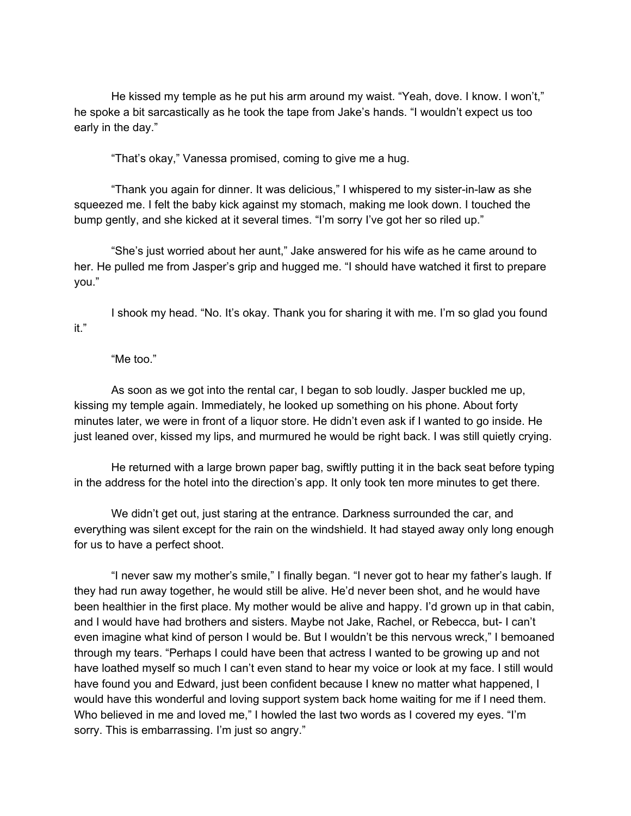He kissed my temple as he put his arm around my waist. "Yeah, dove. I know. I won't," he spoke a bit sarcastically as he took the tape from Jake's hands. "I wouldn't expect us too early in the day."

"That's okay," Vanessa promised, coming to give me a hug.

"Thank you again for dinner. It was delicious," I whispered to my sister-in-law as she squeezed me. I felt the baby kick against my stomach, making me look down. I touched the bump gently, and she kicked at it several times. "I'm sorry I've got her so riled up."

"She's just worried about her aunt," Jake answered for his wife as he came around to her. He pulled me from Jasper's grip and hugged me. "I should have watched it first to prepare you."

I shook my head. "No. It's okay. Thank you for sharing it with me. I'm so glad you found it."

"Me too."

As soon as we got into the rental car, I began to sob loudly. Jasper buckled me up, kissing my temple again. Immediately, he looked up something on his phone. About forty minutes later, we were in front of a liquor store. He didn't even ask if I wanted to go inside. He just leaned over, kissed my lips, and murmured he would be right back. I was still quietly crying.

He returned with a large brown paper bag, swiftly putting it in the back seat before typing in the address for the hotel into the direction's app. It only took ten more minutes to get there.

We didn't get out, just staring at the entrance. Darkness surrounded the car, and everything was silent except for the rain on the windshield. It had stayed away only long enough for us to have a perfect shoot.

"I never saw my mother's smile," I finally began. "I never got to hear my father's laugh. If they had run away together, he would still be alive. He'd never been shot, and he would have been healthier in the first place. My mother would be alive and happy. I'd grown up in that cabin, and I would have had brothers and sisters. Maybe not Jake, Rachel, or Rebecca, but- I can't even imagine what kind of person I would be. But I wouldn't be this nervous wreck," I bemoaned through my tears. "Perhaps I could have been that actress I wanted to be growing up and not have loathed myself so much I can't even stand to hear my voice or look at my face. I still would have found you and Edward, just been confident because I knew no matter what happened, I would have this wonderful and loving support system back home waiting for me if I need them. Who believed in me and loved me," I howled the last two words as I covered my eyes. "I'm sorry. This is embarrassing. I'm just so angry."